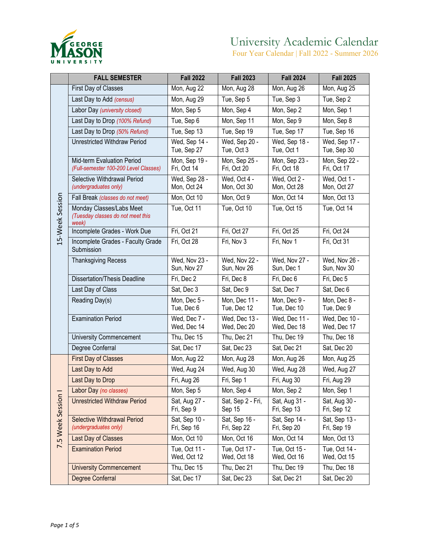

|                    | <b>FALL SEMESTER</b>                                                   | <b>Fall 2022</b>             | <b>Fall 2023</b>             | <b>Fall 2024</b>             | <b>Fall 2025</b>             |
|--------------------|------------------------------------------------------------------------|------------------------------|------------------------------|------------------------------|------------------------------|
|                    | First Day of Classes                                                   | Mon, Aug 22                  | Mon, Aug 28                  | Mon, Aug 26                  | Mon, Aug 25                  |
|                    | Last Day to Add (census)                                               | Mon, Aug 29                  | Tue, Sep 5                   | Tue, Sep 3                   | Tue, Sep 2                   |
|                    | Labor Day (university closed)                                          | Mon, Sep 5                   | Mon, Sep 4                   | Mon, Sep 2                   | Mon, Sep 1                   |
|                    | Last Day to Drop (100% Refund)                                         | Tue, Sep 6                   | Mon, Sep 11                  | Mon, Sep 9                   | Mon, Sep 8                   |
|                    | Last Day to Drop (50% Refund)                                          | Tue, Sep 13                  | Tue, Sep 19                  | Tue, Sep 17                  | Tue, Sep 16                  |
|                    | <b>Unrestricted Withdraw Period</b>                                    | Wed, Sep 14 -<br>Tue, Sep 27 | Wed, Sep 20 -<br>Tue, Oct 3  | Wed, Sep 18 -<br>Tue, Oct 1  | Wed, Sep 17 -<br>Tue, Sep 30 |
|                    | Mid-term Evaluation Period<br>(Full-semester 100-200 Level Classes)    | Mon, Sep 19 -<br>Fri, Oct 14 | Mon, Sep 25 -<br>Fri, Oct 20 | Mon, Sep 23 -<br>Fri, Oct 18 | Mon, Sep 22 -<br>Fri, Oct 17 |
|                    | Selective Withdrawal Period<br>(undergraduates only)                   | Wed, Sep 28 -<br>Mon, Oct 24 | Wed, Oct 4 -<br>Mon, Oct 30  | Wed, Oct 2 -<br>Mon, Oct 28  | Wed, Oct 1 -<br>Mon, Oct 27  |
|                    | Fall Break (classes do not meet)                                       | Mon, Oct 10                  | Mon, Oct 9                   | Mon, Oct 14                  | Mon, Oct 13                  |
| 15-Week Session    | Monday Classes/Labs Meet<br>(Tuesday classes do not meet this<br>week) | Tue, Oct 11                  | Tue, Oct 10                  | Tue, Oct 15                  | Tue, Oct 14                  |
|                    | Incomplete Grades - Work Due                                           | Fri, Oct 21                  | Fri, Oct 27                  | Fri, Oct 25                  | Fri, Oct 24                  |
|                    | Incomplete Grades - Faculty Grade<br>Submission                        | Fri, Oct 28                  | Fri, Nov 3                   | Fri, Nov 1                   | Fri, Oct 31                  |
|                    | <b>Thanksgiving Recess</b>                                             | Wed, Nov 23 -<br>Sun, Nov 27 | Wed, Nov 22 -<br>Sun, Nov 26 | Wed, Nov 27 -<br>Sun, Dec 1  | Wed, Nov 26 -<br>Sun, Nov 30 |
|                    | <b>Dissertation/Thesis Deadline</b>                                    | Fri, Dec 2                   | Fri, Dec 8                   | Fri, Dec 6                   | Fri, Dec 5                   |
|                    | Last Day of Class                                                      | Sat, Dec 3                   | Sat, Dec 9                   | Sat, Dec 7                   | Sat, Dec 6                   |
|                    | Reading Day(s)                                                         | Mon, Dec 5 -<br>Tue, Dec 6   | Mon, Dec 11 -<br>Tue, Dec 12 | Mon, Dec 9 -<br>Tue, Dec 10  | Mon, Dec 8 -<br>Tue, Dec 9   |
|                    | <b>Examination Period</b>                                              | Wed, Dec 7 -<br>Wed, Dec 14  | Wed, Dec 13 -<br>Wed, Dec 20 | Wed, Dec 11 -<br>Wed, Dec 18 | Wed, Dec 10 -<br>Wed, Dec 17 |
|                    | <b>University Commencement</b>                                         | Thu, Dec 15                  | Thu, Dec 21                  | Thu, Dec 19                  | Thu, Dec 18                  |
|                    | Degree Conferral                                                       | Sat, Dec 17                  | Sat, Dec 23                  | Sat, Dec 21                  | Sat, Dec 20                  |
|                    | <b>First Day of Classes</b>                                            | $\overline{M}$ on, Aug 22    | Mon, Aug 28                  | Mon, Aug 26                  | Mon, Aug 25                  |
|                    | Last Day to Add                                                        | Wed, Aug 24                  | Wed, Aug 30                  | Wed, Aug 28                  | Wed, Aug 27                  |
|                    | Last Day to Drop                                                       | Fri, Aug 26                  | Fri, Sep 1                   | Fri, Aug 30                  | Fri, Aug 29                  |
| 7.5 Week Session I | Labor Day (no classes)                                                 | Mon, Sep 5                   | Mon, Sep 4                   | Mon, Sep 2                   | Mon, Sep 1                   |
|                    | <b>Unrestricted Withdraw Period</b>                                    | Sat, Aug 27 -<br>Fri, Sep 9  | Sat, Sep 2 - Fri,<br>Sep 15  | Sat, Aug 31 -<br>Fri, Sep 13 | Sat, Aug 30 -<br>Fri, Sep 12 |
|                    | <b>Selective Withdrawal Period</b><br>(undergraduates only)            | Sat, Sep 10 -<br>Fri, Sep 16 | Sat, Sep 16 -<br>Fri, Sep 22 | Sat, Sep 14 -<br>Fri, Sep 20 | Sat, Sep 13 -<br>Fri, Sep 19 |
|                    | Last Day of Classes                                                    | Mon, Oct 10                  | Mon, Oct 16                  | Mon, Oct 14                  | Mon, Oct 13                  |
|                    | <b>Examination Period</b>                                              | Tue, Oct 11 -<br>Wed, Oct 12 | Tue, Oct 17 -<br>Wed, Oct 18 | Tue, Oct 15 -<br>Wed, Oct 16 | Tue, Oct 14 -<br>Wed, Oct 15 |
|                    | <b>University Commencement</b>                                         | Thu, Dec 15                  | Thu, Dec 21                  | Thu, Dec 19                  | Thu, Dec 18                  |
|                    | Degree Conferral                                                       | Sat, Dec 17                  | Sat, Dec 23                  | Sat, Dec 21                  | Sat, Dec 20                  |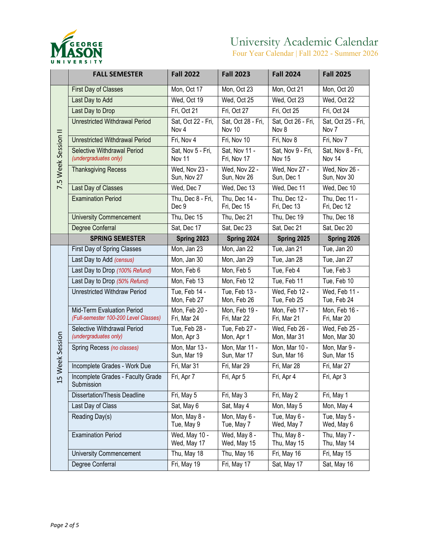

Four Year Calendar | Fall 2022 - Summer 2026

|                     | <b>FALL SEMESTER</b>                                                | <b>Fall 2022</b>             | <b>Fall 2023</b>             | <b>Fall 2024</b>             | <b>Fall 2025</b>             |
|---------------------|---------------------------------------------------------------------|------------------------------|------------------------------|------------------------------|------------------------------|
|                     | <b>First Day of Classes</b>                                         | Mon, Oct 17                  | Mon, Oct 23                  | Mon, Oct 21                  | Mon, Oct 20                  |
|                     | Last Day to Add                                                     | Wed, Oct 19                  | Wed, Oct 25                  | Wed, Oct 23                  | Wed, Oct 22                  |
|                     | Last Day to Drop                                                    | Fri, Oct 21                  | Fri, Oct 27                  | Fri, Oct 25                  | Fri, Oct 24                  |
| 7.5 Week Session II | <b>Unrestricted Withdrawal Period</b>                               | Sat, Oct 22 - Fri,<br>Nov 4  | Sat, Oct 28 - Fri,<br>Nov 10 | Sat, Oct 26 - Fri,<br>Nov 8  | Sat, Oct 25 - Fri,<br>Nov 7  |
|                     | <b>Unrestricted Withdrawal Period</b>                               | Fri, Nov 4                   | Fri, Nov 10                  | Fri, Nov 8                   | Fri, Nov 7                   |
|                     | Selective Withdrawal Period<br>(undergraduates only)                | Sat, Nov 5 - Fri,<br>Nov 11  | Sat. Nov 11 -<br>Fri, Nov 17 | Sat, Nov 9 - Fri,<br>Nov 15  | Sat, Nov 8 - Fri,<br>Nov 14  |
|                     | <b>Thanksgiving Recess</b>                                          | Wed, Nov 23 -<br>Sun, Nov 27 | Wed, Nov 22 -<br>Sun, Nov 26 | Wed, Nov 27 -<br>Sun, Dec 1  | Wed, Nov 26 -<br>Sun, Nov 30 |
|                     | Last Day of Classes                                                 | Wed, Dec 7                   | Wed, Dec 13                  | Wed, Dec 11                  | Wed, Dec 10                  |
|                     | <b>Examination Period</b>                                           | Thu, Dec 8 - Fri,<br>Dec 9   | Thu, Dec 14 -<br>Fri, Dec 15 | Thu, Dec 12 -<br>Fri, Dec 13 | Thu, Dec 11 -<br>Fri, Dec 12 |
|                     | <b>University Commencement</b>                                      | Thu, Dec 15                  | Thu, Dec 21                  | Thu, Dec 19                  | Thu, Dec 18                  |
|                     | Degree Conferral                                                    | Sat, Dec 17                  | Sat, Dec 23                  | Sat, Dec 21                  | Sat, Dec 20                  |
|                     | <b>SPRING SEMESTER</b>                                              | Spring 2023                  | Spring 2024                  | Spring 2025                  | Spring 2026                  |
|                     | First Day of Spring Classes                                         | Mon, Jan 23                  | Mon, Jan 22                  | Tue, Jan 21                  | Tue, Jan 20                  |
|                     | Last Day to Add (census)                                            | Mon, Jan 30                  | Mon, Jan 29                  | Tue, Jan 28                  | Tue, Jan 27                  |
|                     | Last Day to Drop (100% Refund)                                      | Mon, Feb 6                   | Mon, Feb 5                   | Tue, Feb 4                   | Tue, Feb 3                   |
|                     | Last Day to Drop (50% Refund)                                       | Mon, Feb 13                  | Mon, Feb 12                  | Tue, Feb 11                  | Tue, Feb 10                  |
|                     | Unrestricted Withdraw Period                                        | Tue, Feb 14 -<br>Mon, Feb 27 | Tue, Feb 13 -<br>Mon, Feb 26 | Wed, Feb 12 -<br>Tue, Feb 25 | Wed, Feb 11 -<br>Tue, Feb 24 |
|                     | Mid-Term Evaluation Period<br>(Full-semester 100-200 Level Classes) | Mon, Feb 20 -<br>Fri, Mar 24 | Mon, Feb 19 -<br>Fri, Mar 22 | Mon, Feb 17 -<br>Fri, Mar 21 | Mon, Feb 16 -<br>Fri, Mar 20 |
|                     | Selective Withdrawal Period<br>(undergraduates only)                | Tue, Feb 28 -<br>Mon, Apr 3  | Tue, Feb 27 -<br>Mon, Apr 1  | Wed, Feb 26 -<br>Mon, Mar 31 | Wed, Feb 25 -<br>Mon, Mar 30 |
| 5 Week Session      | Spring Recess (no classes)                                          | Mon, Mar 13 -<br>Sun, Mar 19 | Mon, Mar 11 -<br>Sun, Mar 17 | Mon, Mar 10 -<br>Sun, Mar 16 | Mon, Mar 9 -<br>Sun, Mar 15  |
|                     | Incomplete Grades - Work Due                                        | Fri, Mar 31                  | Fri, Mar 29                  | Fri, Mar 28                  | Fri, Mar 27                  |
|                     | Incomplete Grades - Faculty Grade<br>Submission                     | Fri, Apr 7                   | Fri, Apr 5                   | Fri, Apr 4                   | Fri, Apr 3                   |
|                     | <b>Dissertation/Thesis Deadline</b>                                 | Fri, May 5                   | Fri, May 3                   | Fri, May 2                   | Fri, May 1                   |
|                     | Last Day of Class                                                   | Sat, May 6                   | Sat, May 4                   | Mon, May 5                   | Mon, May 4                   |
|                     | Reading Day(s)                                                      | Mon, May 8 -<br>Tue, May 9   | Mon, May 6 -<br>Tue, May 7   | Tue, May 6 -<br>Wed, May 7   | Tue, May 5 -<br>Wed, May 6   |
|                     | <b>Examination Period</b>                                           | Wed, May 10 -<br>Wed, May 17 | Wed, May 8 -<br>Wed, May 15  | Thu, May 8 -<br>Thu, May 15  | Thu, May 7 -<br>Thu, May 14  |
|                     | <b>University Commencement</b>                                      | Thu, May 18                  | Thu, May 16                  | Fri, May 16                  | Fri, May 15                  |
|                     | Degree Conferral                                                    | Fri, May 19                  | Fri, May 17                  | Sat, May 17                  | Sat, May 16                  |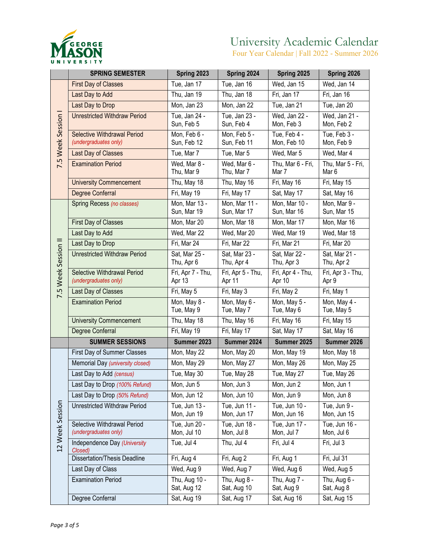

Four Year Calendar | Fall 2022 - Summer 2026

|                     | <b>SPRING SEMESTER</b>                                      | Spring 2023                  | Spring 2024                  | Spring 2025                  | Spring 2026                           |
|---------------------|-------------------------------------------------------------|------------------------------|------------------------------|------------------------------|---------------------------------------|
| 7.5 Week Session I  | <b>First Day of Classes</b>                                 | Tue, Jan 17                  | Tue, Jan 16                  | Wed, Jan 15                  | Wed, Jan 14                           |
|                     | Last Day to Add                                             | Thu, Jan 19                  | Thu, Jan 18                  | Fri, Jan 17                  | Fri, Jan 16                           |
|                     | Last Day to Drop                                            | Mon, Jan 23                  | Mon, Jan 22                  | Tue, Jan 21                  | $\overline{T}$ ue, Jan 20             |
|                     | <b>Unrestricted Withdraw Period</b>                         | Tue, Jan 24 -<br>Sun, Feb 5  | Tue, Jan 23 -<br>Sun, Feb 4  | Wed, Jan 22 -<br>Mon, Feb 3  | Wed, Jan 21 -<br>Mon, Feb 2           |
|                     | <b>Selective Withdrawal Period</b><br>(undergraduates only) | Mon, Feb 6 -<br>Sun, Feb 12  | Mon, Feb 5 -<br>Sun, Feb 11  | Tue, Feb 4 -<br>Mon, Feb 10  | Tue, Feb 3 -<br>Mon, Feb 9            |
|                     | Last Day of Classes                                         | Tue, Mar 7                   | Tue, Mar 5                   | Wed, Mar 5                   | Wed, Mar 4                            |
|                     | <b>Examination Period</b>                                   | Wed, Mar 8 -<br>Thu, Mar 9   | Wed, Mar 6 -<br>Thu, Mar 7   | Thu, Mar 6 - Fri,<br>Mar 7   | Thu, Mar 5 - Fri,<br>Mar <sub>6</sub> |
|                     | <b>University Commencement</b>                              | Thu, May 18                  | Thu, May 16                  | Fri, May 16                  | Fri, May 15                           |
|                     | Degree Conferral                                            | Fri, May 19                  | Fri, May 17                  | Sat, May 17                  | Sat, May 16                           |
|                     | Spring Recess (no classes)                                  | Mon, Mar 13 -<br>Sun, Mar 19 | Mon, Mar 11 -<br>Sun, Mar 17 | Mon, Mar 10 -<br>Sun, Mar 16 | Mon, Mar 9 -<br>Sun, Mar 15           |
|                     | First Day of Classes                                        | Mon, Mar 20                  | Mon, Mar 18                  | Mon, Mar 17                  | Mon, Mar 16                           |
|                     | Last Day to Add                                             | Wed, Mar 22                  | Wed, Mar 20                  | Wed, Mar 19                  | Wed, Mar 18                           |
|                     | Last Day to Drop                                            | Fri, Mar 24                  | Fri, Mar 22                  | Fri, Mar 21                  | Fri, Mar 20                           |
|                     | <b>Unrestricted Withdraw Period</b>                         | Sat, Mar 25 -<br>Thu, Apr 6  | Sat. Mar 23 -<br>Thu, Apr 4  | Sat, Mar 22 -<br>Thu, Apr 3  | Sat, Mar 21 -<br>Thu, Apr 2           |
| 7.5 Week Session II | Selective Withdrawal Period<br>(undergraduates only)        | Fri, Apr 7 - Thu,<br>Apr 13  | Fri, Apr 5 - Thu,<br>Apr 11  | Fri, Apr 4 - Thu,<br>Apr 10  | Fri, Apr 3 - Thu,<br>Apr 9            |
|                     | Last Day of Classes                                         | Fri, May 5                   | Fri, May 3                   | Fri, May 2                   | Fri, May 1                            |
|                     | <b>Examination Period</b>                                   | Mon, May 8 -<br>Tue, May 9   | Mon, May 6 -<br>Tue, May 7   | Mon, May 5 -<br>Tue, May 6   | Mon, May 4 -<br>Tue, May 5            |
|                     | <b>University Commencement</b>                              | Thu, May 18                  | Thu, May 16                  | Fri, May 16                  | Fri, May 15                           |
|                     | Degree Conferral                                            | Fri, May 19                  | Fri, May 17                  | Sat, May 17                  | Sat, May 16                           |
|                     | <b>SUMMER SESSIONS</b>                                      | Summer 2023                  | Summer 2024                  | Summer 2025                  | Summer 2026                           |
|                     | First Day of Summer Classes                                 | Mon, May 22                  | Mon, May 20                  | Mon, May 19                  | Mon, May 18                           |
|                     | Memorial Day (university closed)                            | Mon, May 29                  | Mon, May 27                  | Mon, May 26                  | Mon, May 25                           |
|                     | Last Day to Add (census)                                    | Tue, May 30                  | Tue, May 28                  | Tue, May 27                  | Tue, May 26                           |
|                     | Last Day to Drop (100% Refund)                              | Mon, Jun 5                   | Mon, Jun 3                   | Mon, Jun 2                   | Mon, Jun 1                            |
|                     | Last Day to Drop (50% Refund)                               | Mon, Jun 12                  | Mon, Jun 10                  | Mon, Jun 9                   | Mon, Jun 8                            |
|                     | Unrestricted Withdraw Period                                | Tue, Jun 13 -<br>Mon, Jun 19 | Tue, Jun 11 -<br>Mon, Jun 17 | Tue, Jun 10 -<br>Mon, Jun 16 | Tue, Jun 9 -<br>Mon, Jun 15           |
| 12 Week Session     | Selective Withdrawal Period<br>(undergraduates only)        | Tue, Jun 20 -<br>Mon, Jul 10 | Tue, Jun 18 -<br>Mon, Jul 8  | Tue, Jun 17 -<br>Mon, Jul 7  | Tue, Jun 16 -<br>Mon, Jul 6           |
|                     | Independence Day (University<br>Closed)                     | Tue, Jul 4                   | Thu, Jul 4                   | Fri, Jul 4                   | Fri, Jul 3                            |
|                     | <b>Dissertation/Thesis Deadline</b>                         | Fri, Aug 4                   | Fri, Aug 2                   | Fri, Aug 1                   | $Fri,$ Jul 31                         |
|                     | Last Day of Class                                           | Wed, Aug 9                   | Wed, Aug 7                   | Wed, Aug 6                   | Wed, Aug 5                            |
|                     | <b>Examination Period</b>                                   | Thu, Aug 10 -<br>Sat, Aug 12 | Thu, Aug 8 -<br>Sat, Aug 10  | Thu, Aug 7 -<br>Sat, Aug 9   | Thu, Aug 6 -<br>Sat, Aug 8            |
|                     | Degree Conferral                                            | Sat, Aug 19                  | Sat, Aug 17                  | Sat, Aug 16                  | Sat, Aug 15                           |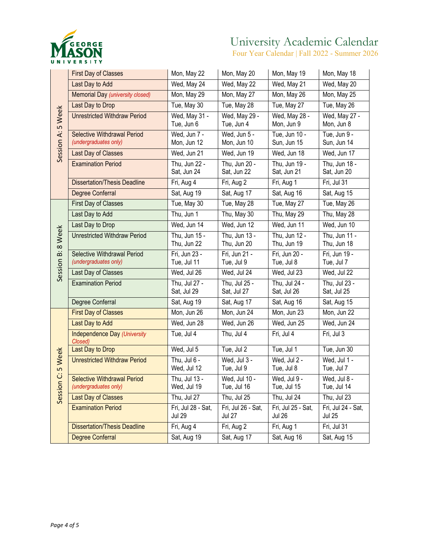

Four Year Calendar | Fall 2022 - Summer 2026

|                   | <b>First Day of Classes</b>                          | Mon, May 22                         | Mon, May 20                         | Mon, May 19                               | Mon, May 18                         |
|-------------------|------------------------------------------------------|-------------------------------------|-------------------------------------|-------------------------------------------|-------------------------------------|
|                   | Last Day to Add                                      | Wed, May 24                         | Wed, May 22                         | Wed, May 21                               | Wed, May 20                         |
|                   | Memorial Day (university closed)                     | Mon, May 29                         | Mon, May 27                         | Mon, May 26                               | Mon, May 25                         |
|                   | Last Day to Drop                                     | Tue, May 30                         | Tue, May 28                         | Tue, May 27                               | Tue, May 26                         |
| Session A: 5 Week | <b>Unrestricted Withdraw Period</b>                  | Wed, May 31 -<br>Tue, Jun 6         | Wed, May 29 -<br>Tue, Jun 4         | Wed, May 28 -<br>Mon, Jun 9               | Wed, May 27 -<br>Mon, Jun 8         |
|                   | Selective Withdrawal Period<br>(undergraduates only) | Wed, Jun 7 -<br>Mon, Jun 12         | Wed, Jun 5 -<br>Mon, Jun 10         | Tue, Jun 10 -<br>Sun, Jun 15              | Tue, Jun 9 -<br>Sun, Jun 14         |
|                   | Last Day of Classes                                  | Wed, Jun 21                         | Wed, Jun 19                         | Wed, Jun 18                               | Wed, Jun 17                         |
|                   | <b>Examination Period</b>                            | Thu, Jun 22 -<br>Sat, Jun 24        | Thu, Jun 20 -<br>Sat, Jun 22        | Thu, Jun 19 -<br>Sat, Jun 21              | Thu, Jun 18 -<br>Sat, Jun 20        |
|                   | <b>Dissertation/Thesis Deadline</b>                  | Fri, Aug 4                          | Fri, Aug 2                          | Fri, Aug 1                                | $Fri,$ Jul 31                       |
|                   | Degree Conferral                                     | Sat, Aug 19                         | Sat, Aug 17                         | Sat, Aug 16                               | Sat, Aug 15                         |
|                   | <b>First Day of Classes</b>                          | Tue, May 30                         | Tue, May 28                         | Tue, May 27                               | Tue, May 26                         |
|                   | Last Day to Add                                      | Thu, Jun 1                          | Thu, May 30                         | Thu, May 29                               | Thu, May 28                         |
|                   | Last Day to Drop                                     | Wed, Jun 14                         | Wed, Jun 12                         | Wed, Jun 11                               | Wed, Jun 10                         |
| Session B: 8 Week | <b>Unrestricted Withdraw Period</b>                  | Thu, Jun 15 -<br>Thu, Jun 22        | Thu, Jun 13 -<br>Thu, Jun 20        | Thu. Jun 12 -<br>Thu, Jun 19              | Thu, Jun 11 -<br>Thu, Jun 18        |
|                   | Selective Withdrawal Period<br>(undergraduates only) | Fri, Jun 23 -<br>Tue, Jul 11        | Fri, Jun 21 -<br>Tue, Jul 9         | Fri, Jun 20 -<br>Tue, Jul 8               | Fri, Jun 19 -<br>Tue, Jul 7         |
|                   | Last Day of Classes                                  | Wed, Jul 26                         | Wed, Jul 24                         | Wed, Jul 23                               | Wed, Jul 22                         |
|                   | <b>Examination Period</b>                            | Thu, Jul 27 -<br>Sat, Jul 29        | Thu, Jul 25 -<br>Sat, Jul 27        | Thu, Jul 24 -<br>Sat, Jul 26              | Thu, Jul 23 -<br>Sat, Jul 25        |
|                   | Degree Conferral                                     | Sat, Aug 19                         | Sat, Aug 17                         | Sat, Aug 16                               | Sat, Aug 15                         |
|                   | <b>First Day of Classes</b>                          | Mon, Jun 26                         | Mon, Jun 24                         | Mon, Jun 23                               | Mon, Jun 22                         |
|                   | Last Day to Add                                      | Wed, Jun 28                         | Wed, Jun 26                         | Wed, Jun 25                               | Wed, Jun 24                         |
|                   | <b>Independence Day (University</b><br>Closed)       | Tue, Jul 4                          | Thu, Jul 4                          | Fri, Jul 4                                | Fri, Jul 3                          |
|                   | Last Day to Drop                                     | Wed, Jul 5                          | Tue, Jul 2                          | Tue, Jul 1                                | Tue, Jun 30                         |
| 5 Week            | <b>Unrestricted Withdraw Period</b>                  | Thu, Jul 6 -<br>Wed, Jul 12         | Wed, Jul 3 -<br>Tue, Jul 9          | Wed, Jul 2 -<br>Tue, Jul 8                | Wed, Jul 1 -<br>Tue, Jul 7          |
| Session C:        | Selective Withdrawal Period<br>(undergraduates only) | Thu, Jul 13 -<br>Wed, Jul 19        | Wed, Jul 10 -<br>Tue, Jul 16        | $\overline{W}$ ed, Jul 9 -<br>Tue, Jul 15 | Wed, Jul 8 -<br>Tue, Jul 14         |
|                   | <b>Last Day of Classes</b>                           | Thu, Jul 27                         | Thu, Jul 25                         | Thu, Jul 24                               | Thu, Jul 23                         |
|                   | <b>Examination Period</b>                            | Fri, Jul 28 - Sat,<br><b>Jul 29</b> | Fri, Jul 26 - Sat,<br><b>Jul 27</b> | Fri, Jul 25 - Sat,<br><b>Jul 26</b>       | Fri, Jul 24 - Sat,<br><b>Jul 25</b> |
|                   | <b>Dissertation/Thesis Deadline</b>                  | Fri, Aug 4                          | Fri, Aug 2                          | Fri, Aug 1                                | Fri, Jul 31                         |
|                   | Degree Conferral                                     | Sat, Aug 19                         | Sat, Aug 17                         | Sat, Aug 16                               | Sat, Aug 15                         |